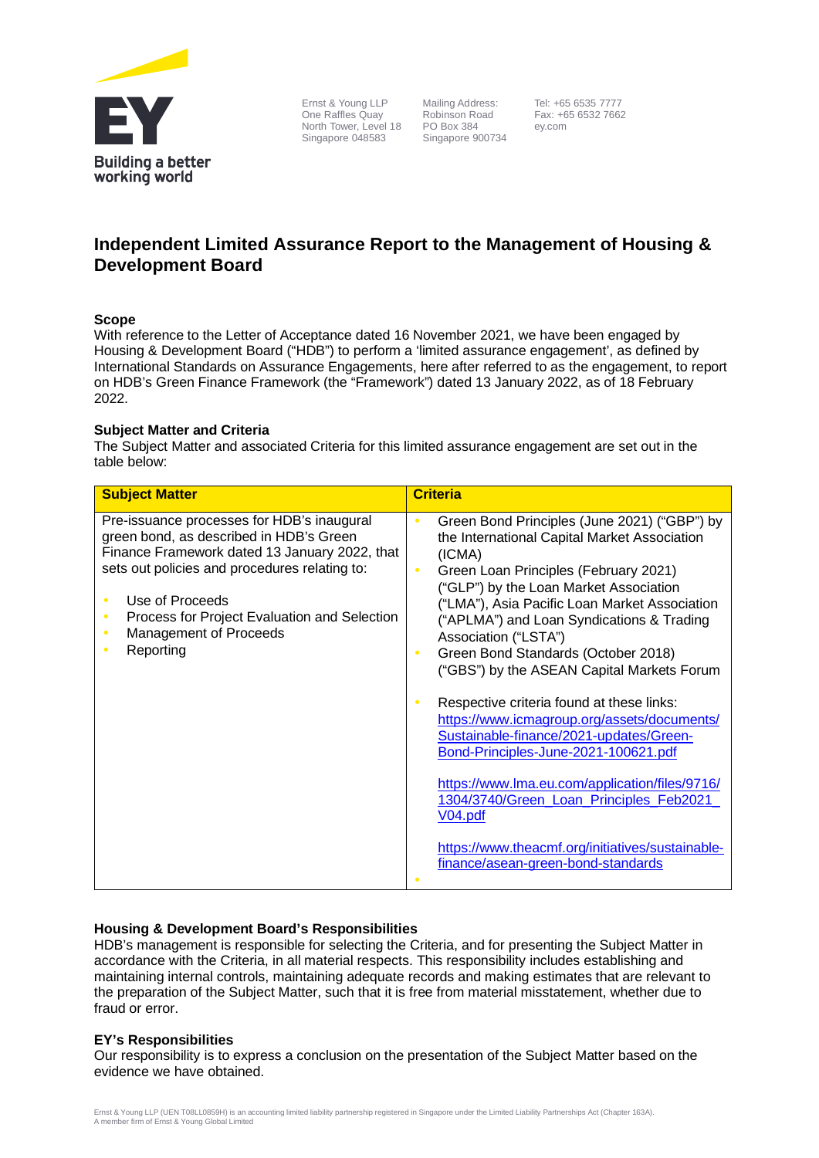

Ernst & Young LLP One Raffles Quay North Tower, Level 18 Singapore 048583

 Mailing Address: Robinson Road PO Box 384 Singapore 900734  Tel: +65 6535 7777 Fax: +65 6532 7662 ey.com

# **Independent Limited Assurance Report to the Management of Housing & Development Board**

### **Scope**

With reference to the Letter of Acceptance dated 16 November 2021, we have been engaged by Housing & Development Board ("HDB") to perform a 'limited assurance engagement', as defined by International Standards on Assurance Engagements, here after referred to as the engagement, to report on HDB's Green Finance Framework (the "Framework") dated 13 January 2022, as of 18 February 2022.

# **Subject Matter and Criteria**

The Subject Matter and associated Criteria for this limited assurance engagement are set out in the table below:

| <b>Subject Matter</b>                                                                                                                                                                                                                                                                                          | <b>Criteria</b>                                                                                                                                                                                                                                                                                                                                                                                                                                                                                                                                                                                                                                                                                                                                                                       |
|----------------------------------------------------------------------------------------------------------------------------------------------------------------------------------------------------------------------------------------------------------------------------------------------------------------|---------------------------------------------------------------------------------------------------------------------------------------------------------------------------------------------------------------------------------------------------------------------------------------------------------------------------------------------------------------------------------------------------------------------------------------------------------------------------------------------------------------------------------------------------------------------------------------------------------------------------------------------------------------------------------------------------------------------------------------------------------------------------------------|
| Pre-issuance processes for HDB's inaugural<br>green bond, as described in HDB's Green<br>Finance Framework dated 13 January 2022, that<br>sets out policies and procedures relating to:<br>Use of Proceeds<br>Process for Project Evaluation and Selection<br>$\bullet$<br>Management of Proceeds<br>Reporting | Green Bond Principles (June 2021) ("GBP") by<br>the International Capital Market Association<br>(ICMA)<br>Green Loan Principles (February 2021)<br>("GLP") by the Loan Market Association<br>("LMA"), Asia Pacific Loan Market Association<br>("APLMA") and Loan Syndications & Trading<br>Association ("LSTA")<br>Green Bond Standards (October 2018)<br>("GBS") by the ASEAN Capital Markets Forum<br>Respective criteria found at these links:<br>https://www.icmagroup.org/assets/documents/<br>Sustainable-finance/2021-updates/Green-<br>Bond-Principles-June-2021-100621.pdf<br>https://www.lma.eu.com/application/files/9716/<br>1304/3740/Green Loan Principles Feb2021<br>V04.pdf<br>https://www.theacmf.org/initiatives/sustainable-<br>finance/asean-green-bond-standards |

# **Housing & Development Board's Responsibilities**

HDB's management is responsible for selecting the Criteria, and for presenting the Subject Matter in accordance with the Criteria, in all material respects. This responsibility includes establishing and maintaining internal controls, maintaining adequate records and making estimates that are relevant to the preparation of the Subject Matter, such that it is free from material misstatement, whether due to fraud or error.

# **EY's Responsibilities**

Our responsibility is to express a conclusion on the presentation of the Subject Matter based on the evidence we have obtained.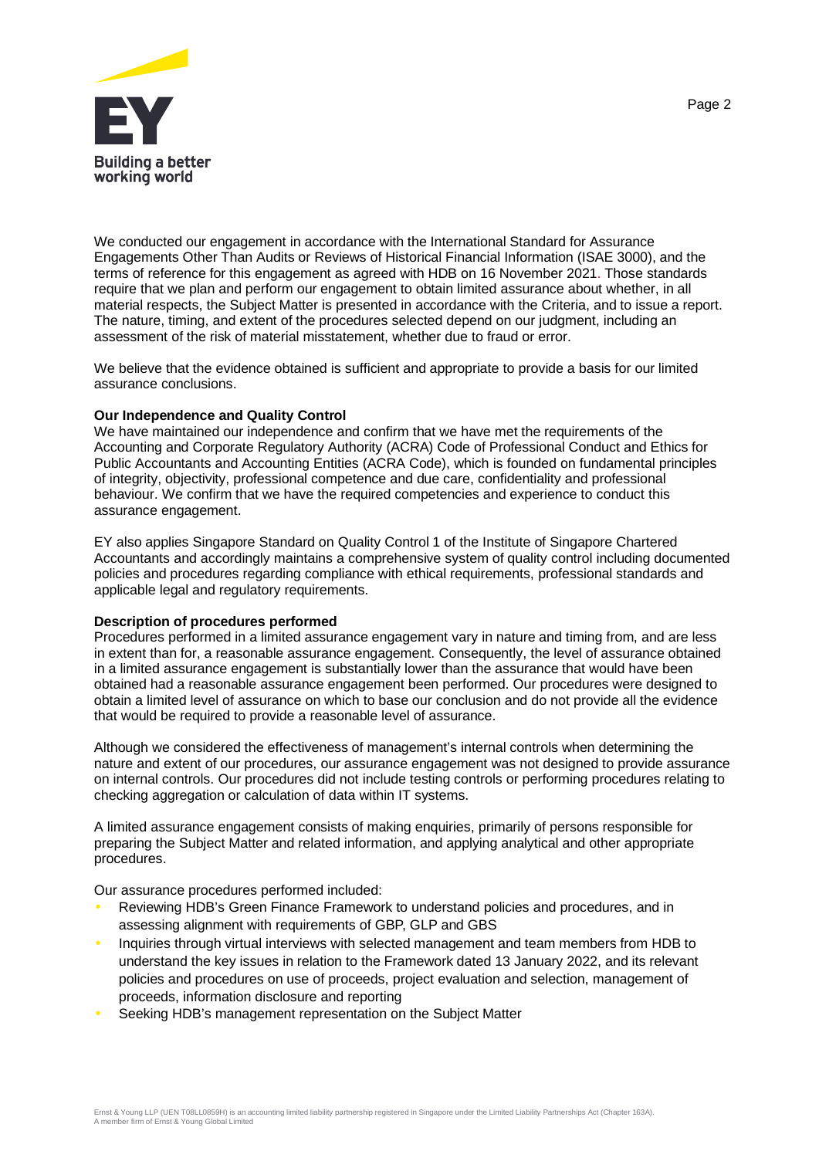

We conducted our engagement in accordance with the International Standard for Assurance Engagements Other Than Audits or Reviews of Historical Financial Information (ISAE 3000), and the terms of reference for this engagement as agreed with HDB on 16 November 2021. Those standards require that we plan and perform our engagement to obtain limited assurance about whether, in all material respects, the Subject Matter is presented in accordance with the Criteria, and to issue a report. The nature, timing, and extent of the procedures selected depend on our judgment, including an assessment of the risk of material misstatement, whether due to fraud or error.

We believe that the evidence obtained is sufficient and appropriate to provide a basis for our limited assurance conclusions.

### **Our Independence and Quality Control**

We have maintained our independence and confirm that we have met the requirements of the Accounting and Corporate Regulatory Authority (ACRA) Code of Professional Conduct and Ethics for Public Accountants and Accounting Entities (ACRA Code), which is founded on fundamental principles of integrity, objectivity, professional competence and due care, confidentiality and professional behaviour. We confirm that we have the required competencies and experience to conduct this assurance engagement.

EY also applies Singapore Standard on Quality Control 1 of the Institute of Singapore Chartered Accountants and accordingly maintains a comprehensive system of quality control including documented policies and procedures regarding compliance with ethical requirements, professional standards and applicable legal and regulatory requirements.

### **Description of procedures performed**

Procedures performed in a limited assurance engagement vary in nature and timing from, and are less in extent than for, a reasonable assurance engagement. Consequently, the level of assurance obtained in a limited assurance engagement is substantially lower than the assurance that would have been obtained had a reasonable assurance engagement been performed. Our procedures were designed to obtain a limited level of assurance on which to base our conclusion and do not provide all the evidence that would be required to provide a reasonable level of assurance.

Although we considered the effectiveness of management's internal controls when determining the nature and extent of our procedures, our assurance engagement was not designed to provide assurance on internal controls. Our procedures did not include testing controls or performing procedures relating to checking aggregation or calculation of data within IT systems.

A limited assurance engagement consists of making enquiries, primarily of persons responsible for preparing the Subject Matter and related information, and applying analytical and other appropriate procedures.

Our assurance procedures performed included:

- Reviewing HDB's Green Finance Framework to understand policies and procedures, and in assessing alignment with requirements of GBP, GLP and GBS
- Inquiries through virtual interviews with selected management and team members from HDB to understand the key issues in relation to the Framework dated 13 January 2022, and its relevant policies and procedures on use of proceeds, project evaluation and selection, management of proceeds, information disclosure and reporting
- Seeking HDB's management representation on the Subject Matter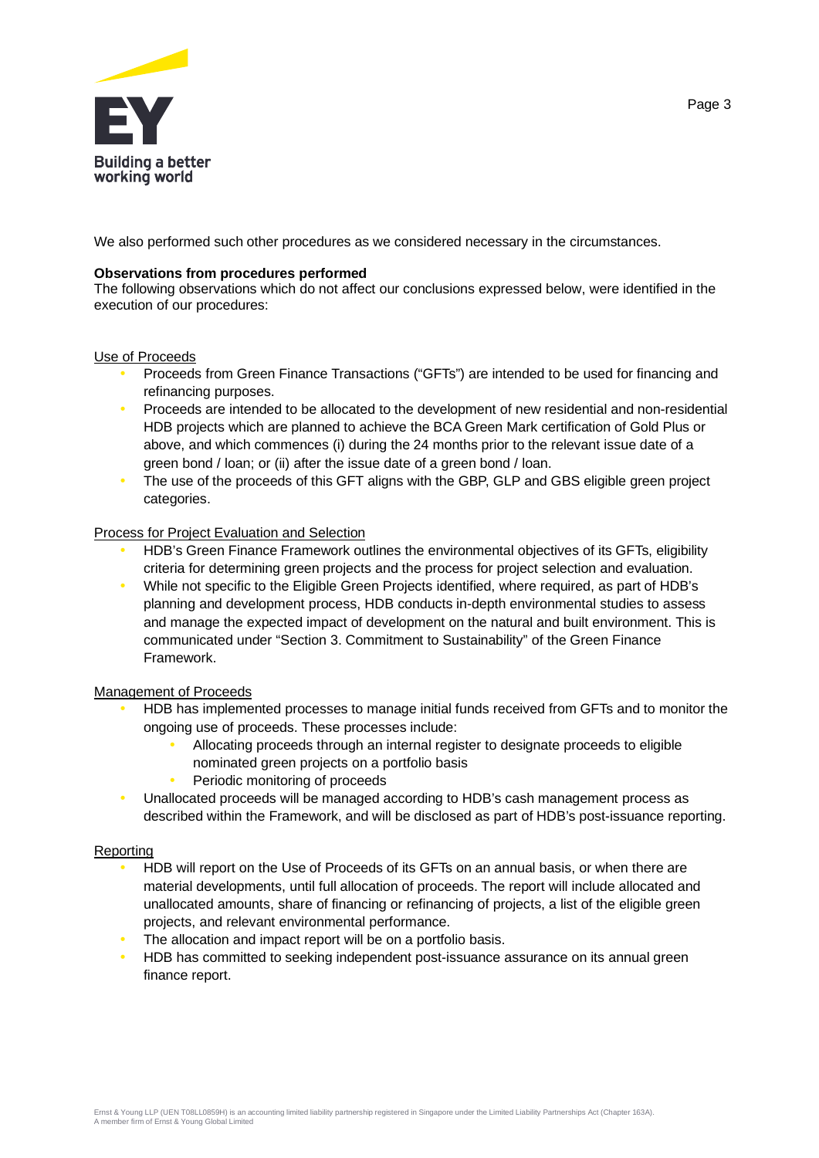

We also performed such other procedures as we considered necessary in the circumstances.

### **Observations from procedures performed**

The following observations which do not affect our conclusions expressed below, were identified in the execution of our procedures:

# Use of Proceeds

- Proceeds from Green Finance Transactions ("GFTs") are intended to be used for financing and refinancing purposes.
- Proceeds are intended to be allocated to the development of new residential and non-residential HDB projects which are planned to achieve the BCA Green Mark certification of Gold Plus or above, and which commences (i) during the 24 months prior to the relevant issue date of a green bond / loan; or (ii) after the issue date of a green bond / loan.
- The use of the proceeds of this GFT aligns with the GBP, GLP and GBS eligible green project categories.

# Process for Project Evaluation and Selection

- HDB's Green Finance Framework outlines the environmental objectives of its GFTs, eligibility criteria for determining green projects and the process for project selection and evaluation.
- While not specific to the Eligible Green Projects identified, where required, as part of HDB's planning and development process, HDB conducts in-depth environmental studies to assess and manage the expected impact of development on the natural and built environment. This is communicated under "Section 3. Commitment to Sustainability" of the Green Finance Framework.

# Management of Proceeds

- HDB has implemented processes to manage initial funds received from GFTs and to monitor the ongoing use of proceeds. These processes include:
	- Allocating proceeds through an internal register to designate proceeds to eligible nominated green projects on a portfolio basis
	- Periodic monitoring of proceeds
- Unallocated proceeds will be managed according to HDB's cash management process as described within the Framework, and will be disclosed as part of HDB's post-issuance reporting.

### Reporting

- HDB will report on the Use of Proceeds of its GFTs on an annual basis, or when there are material developments, until full allocation of proceeds. The report will include allocated and unallocated amounts, share of financing or refinancing of projects, a list of the eligible green projects, and relevant environmental performance.
- The allocation and impact report will be on a portfolio basis.
- HDB has committed to seeking independent post-issuance assurance on its annual green finance report.